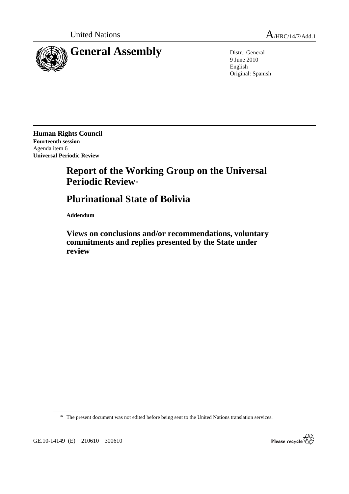

9 June 2010 English Original: Spanish

**Human Rights Council Fourteenth session**  Agenda item 6 **Universal Periodic Review** 

## **Report of the Working Group on the Universal Periodic Review**\*

## **Plurinational State of Bolivia**

 **Addendum** 

 **Views on conclusions and/or recommendations, voluntary commitments and replies presented by the State under review** 

\* The present document was not edited before being sent to the United Nations translation services.



GE.10-14149 (E) 210610 300610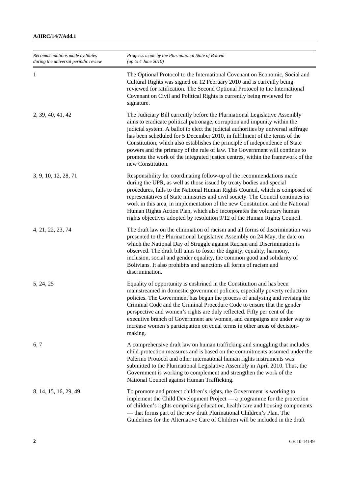| Recommendations made by States<br>during the universal periodic review | Progress made by the Plurinational State of Bolivia<br>(up to 4 June 2010)                                                                                                                                                                                                                                                                                                                                                                                                                                                                                                                     |
|------------------------------------------------------------------------|------------------------------------------------------------------------------------------------------------------------------------------------------------------------------------------------------------------------------------------------------------------------------------------------------------------------------------------------------------------------------------------------------------------------------------------------------------------------------------------------------------------------------------------------------------------------------------------------|
| 1                                                                      | The Optional Protocol to the International Covenant on Economic, Social and<br>Cultural Rights was signed on 12 February 2010 and is currently being<br>reviewed for ratification. The Second Optional Protocol to the International<br>Covenant on Civil and Political Rights is currently being reviewed for<br>signature.                                                                                                                                                                                                                                                                   |
| 2, 39, 40, 41, 42                                                      | The Judiciary Bill currently before the Plurinational Legislative Assembly<br>aims to eradicate political patronage, corruption and impunity within the<br>judicial system. A ballot to elect the judicial authorities by universal suffrage<br>has been scheduled for 5 December 2010, in fulfilment of the terms of the<br>Constitution, which also establishes the principle of independence of State<br>powers and the primacy of the rule of law. The Government will continue to<br>promote the work of the integrated justice centres, within the framework of the<br>new Constitution. |
| 3, 9, 10, 12, 28, 71                                                   | Responsibility for coordinating follow-up of the recommendations made<br>during the UPR, as well as those issued by treaty bodies and special<br>procedures, falls to the National Human Rights Council, which is composed of<br>representatives of State ministries and civil society. The Council continues its<br>work in this area, in implementation of the new Constitution and the National<br>Human Rights Action Plan, which also incorporates the voluntary human<br>rights objectives adopted by resolution 9/12 of the Human Rights Council.                                       |
| 4, 21, 22, 23, 74                                                      | The draft law on the elimination of racism and all forms of discrimination was<br>presented to the Plurinational Legislative Assembly on 24 May, the date on<br>which the National Day of Struggle against Racism and Discrimination is<br>observed. The draft bill aims to foster the dignity, equality, harmony,<br>inclusion, social and gender equality, the common good and solidarity of<br>Bolivians. It also prohibits and sanctions all forms of racism and<br>discrimination.                                                                                                        |
| 5, 24, 25                                                              | Equality of opportunity is enshrined in the Constitution and has been<br>mainstreamed in domestic government policies, especially poverty reduction<br>policies. The Government has begun the process of analysing and revising the<br>Criminal Code and the Criminal Procedure Code to ensure that the gender<br>perspective and women's rights are duly reflected. Fifty per cent of the<br>executive branch of Government are women, and campaigns are under way to<br>increase women's participation on equal terms in other areas of decision-<br>making.                                 |
| 6, 7                                                                   | A comprehensive draft law on human trafficking and smuggling that includes<br>child-protection measures and is based on the commitments assumed under the<br>Palermo Protocol and other international human rights instruments was<br>submitted to the Plurinational Legislative Assembly in April 2010. Thus, the<br>Government is working to complement and strengthen the work of the<br>National Council against Human Trafficking.                                                                                                                                                        |
| 8, 14, 15, 16, 29, 49                                                  | To promote and protect children's rights, the Government is working to<br>implement the Child Development Project — a programme for the protection<br>of children's rights comprising education, health care and housing components<br>- that forms part of the new draft Plurinational Children's Plan. The<br>Guidelines for the Alternative Care of Children will be included in the draft                                                                                                                                                                                                  |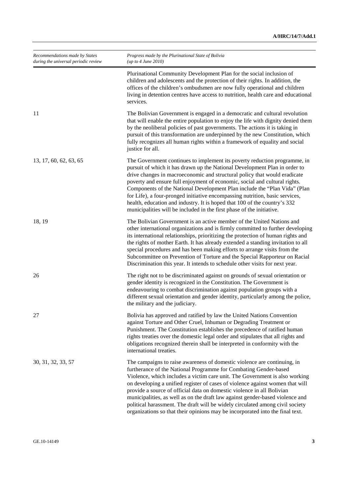| Recommendations made by States<br>during the universal periodic review | Progress made by the Plurinational State of Bolivia<br>(up to 4 June 2010)                                                                                                                                                                                                                                                                                                                                                                                                                                                                                                                                                                |
|------------------------------------------------------------------------|-------------------------------------------------------------------------------------------------------------------------------------------------------------------------------------------------------------------------------------------------------------------------------------------------------------------------------------------------------------------------------------------------------------------------------------------------------------------------------------------------------------------------------------------------------------------------------------------------------------------------------------------|
|                                                                        | Plurinational Community Development Plan for the social inclusion of<br>children and adolescents and the protection of their rights. In addition, the<br>offices of the children's ombudsmen are now fully operational and children<br>living in detention centres have access to nutrition, health care and educational<br>services.                                                                                                                                                                                                                                                                                                     |
| 11                                                                     | The Bolivian Government is engaged in a democratic and cultural revolution<br>that will enable the entire population to enjoy the life with dignity denied them<br>by the neoliberal policies of past governments. The actions it is taking in<br>pursuit of this transformation are underpinned by the new Constitution, which<br>fully recognizes all human rights within a framework of equality and social<br>justice for all.                                                                                                                                                                                                        |
| 13, 17, 60, 62, 63, 65                                                 | The Government continues to implement its poverty reduction programme, in<br>pursuit of which it has drawn up the National Development Plan in order to<br>drive changes in macroeconomic and structural policy that would eradicate<br>poverty and ensure full enjoyment of economic, social and cultural rights.<br>Components of the National Development Plan include the "Plan Vida" (Plan<br>for Life), a four-pronged initiative encompassing nutrition, basic services,<br>health, education and industry. It is hoped that 100 of the country's 332<br>municipalities will be included in the first phase of the initiative.     |
| 18, 19                                                                 | The Bolivian Government is an active member of the United Nations and<br>other international organizations and is firmly committed to further developing<br>its international relationships, prioritizing the protection of human rights and<br>the rights of mother Earth. It has already extended a standing invitation to all<br>special procedures and has been making efforts to arrange visits from the<br>Subcommittee on Prevention of Torture and the Special Rapporteur on Racial<br>Discrimination this year. It intends to schedule other visits for next year.                                                               |
| 26                                                                     | The right not to be discriminated against on grounds of sexual orientation or<br>gender identity is recognized in the Constitution. The Government is<br>endeavouring to combat discrimination against population groups with a<br>different sexual orientation and gender identity, particularly among the police,<br>the military and the judiciary.                                                                                                                                                                                                                                                                                    |
| 27                                                                     | Bolivia has approved and ratified by law the United Nations Convention<br>against Torture and Other Cruel, Inhuman or Degrading Treatment or<br>Punishment. The Constitution establishes the precedence of ratified human<br>rights treaties over the domestic legal order and stipulates that all rights and<br>obligations recognized therein shall be interpreted in conformity with the<br>international treaties.                                                                                                                                                                                                                    |
| 30, 31, 32, 33, 57                                                     | The campaigns to raise awareness of domestic violence are continuing, in<br>furtherance of the National Programme for Combating Gender-based<br>Violence, which includes a victim care unit. The Government is also working<br>on developing a unified register of cases of violence against women that will<br>provide a source of official data on domestic violence in all Bolivian<br>municipalities, as well as on the draft law against gender-based violence and<br>political harassment. The draft will be widely circulated among civil society<br>organizations so that their opinions may be incorporated into the final text. |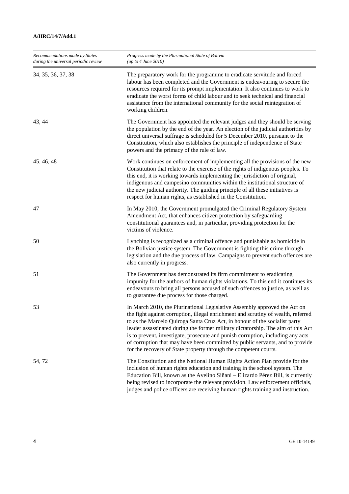| Recommendations made by States<br>during the universal periodic review | Progress made by the Plurinational State of Bolivia<br>( <i>up to 4 June 2010</i> )                                                                                                                                                                                                                                                                                                                                                                                                                                                                                      |
|------------------------------------------------------------------------|--------------------------------------------------------------------------------------------------------------------------------------------------------------------------------------------------------------------------------------------------------------------------------------------------------------------------------------------------------------------------------------------------------------------------------------------------------------------------------------------------------------------------------------------------------------------------|
| 34, 35, 36, 37, 38                                                     | The preparatory work for the programme to eradicate servitude and forced<br>labour has been completed and the Government is endeavouring to secure the<br>resources required for its prompt implementation. It also continues to work to<br>eradicate the worst forms of child labour and to seek technical and financial<br>assistance from the international community for the social reintegration of<br>working children.                                                                                                                                            |
| 43, 44                                                                 | The Government has appointed the relevant judges and they should be serving<br>the population by the end of the year. An election of the judicial authorities by<br>direct universal suffrage is scheduled for 5 December 2010, pursuant to the<br>Constitution, which also establishes the principle of independence of State<br>powers and the primacy of the rule of law.                                                                                                                                                                                             |
| 45, 46, 48                                                             | Work continues on enforcement of implementing all the provisions of the new<br>Constitution that relate to the exercise of the rights of indigenous peoples. To<br>this end, it is working towards implementing the jurisdiction of original,<br>indigenous and campesino communities within the institutional structure of<br>the new judicial authority. The guiding principle of all these initiatives is<br>respect for human rights, as established in the Constitution.                                                                                            |
| 47                                                                     | In May 2010, the Government promulgated the Criminal Regulatory System<br>Amendment Act, that enhances citizen protection by safeguarding<br>constitutional guarantees and, in particular, providing protection for the<br>victims of violence.                                                                                                                                                                                                                                                                                                                          |
| 50                                                                     | Lynching is recognized as a criminal offence and punishable as homicide in<br>the Bolivian justice system. The Government is fighting this crime through<br>legislation and the due process of law. Campaigns to prevent such offences are<br>also currently in progress.                                                                                                                                                                                                                                                                                                |
| 51                                                                     | The Government has demonstrated its firm commitment to eradicating<br>impunity for the authors of human rights violations. To this end it continues its<br>endeavours to bring all persons accused of such offences to justice, as well as<br>to guarantee due process for those charged.                                                                                                                                                                                                                                                                                |
| 53                                                                     | In March 2010, the Plurinational Legislative Assembly approved the Act on<br>the fight against corruption, illegal enrichment and scrutiny of wealth, referred<br>to as the Marcelo Quiroga Santa Cruz Act, in honour of the socialist party<br>leader assassinated during the former military dictatorship. The aim of this Act<br>is to prevent, investigate, prosecute and punish corruption, including any acts<br>of corruption that may have been committed by public servants, and to provide<br>for the recovery of State property through the competent courts. |
| 54, 72                                                                 | The Constitution and the National Human Rights Action Plan provide for the<br>inclusion of human rights education and training in the school system. The<br>Education Bill, known as the Avelino Siñani - Elizardo Pérez Bill, is currently<br>being revised to incorporate the relevant provision. Law enforcement officials,<br>judges and police officers are receiving human rights training and instruction.                                                                                                                                                        |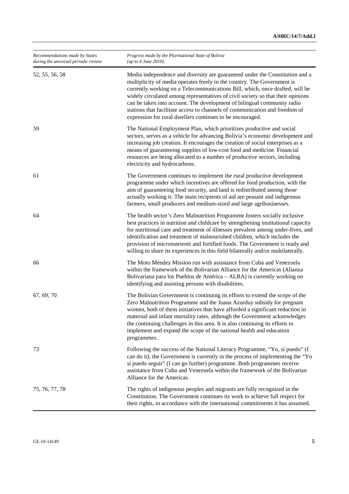| Recommendations made by States<br>during the universal periodic review | Progress made by the Plurinational State of Bolivia<br>(up to 4 June 2010)                                                                                                                                                                                                                                                                                                                                                                                                                                                                        |
|------------------------------------------------------------------------|---------------------------------------------------------------------------------------------------------------------------------------------------------------------------------------------------------------------------------------------------------------------------------------------------------------------------------------------------------------------------------------------------------------------------------------------------------------------------------------------------------------------------------------------------|
| 52, 55, 56, 58                                                         | Media independence and diversity are guaranteed under the Constitution and a<br>multiplicity of media operates freely in the country. The Government is<br>currently working on a Telecommunications Bill, which, once drafted, will be<br>widely circulated among representatives of civil society so that their opinions<br>can be taken into account. The development of bilingual community radio<br>stations that facilitate access to channels of communication and freedom of<br>expression for rural dwellers continues to be encouraged. |
| 59                                                                     | The National Employment Plan, which prioritizes productive and social<br>sectors, serves as a vehicle for advancing Bolivia's economic development and<br>increasing job creation. It encourages the creation of social enterprises as a<br>means of guaranteeing supplies of low-cost food and medicine. Financial<br>resources are being allocated to a number of productive sectors, including<br>electricity and hydrocarbons.                                                                                                                |
| 61                                                                     | The Government continues to implement the rural productive development<br>programme under which incentives are offered for food production, with the<br>aim of guaranteeing food security, and land is redistributed among those<br>actually working it. The main recipients of aid are peasant and indigenous<br>farmers, small producers and medium-sized and large agribusinesses.                                                                                                                                                             |
| 64                                                                     | The health sector's Zero Malnutrition Programme fosters socially inclusive<br>best practices in nutrition and childcare by strengthening institutional capacity<br>for nutritional care and treatment of illnesses prevalent among under-fives, and<br>identification and treatment of malnourished children, which includes the<br>provision of micronutrients and fortified foods. The Government is ready and<br>willing to share its experiences in this field bilaterally and/or multilaterally.                                             |
| 66                                                                     | The Moto Méndez Mission run with assistance from Cuba and Venezuela<br>within the framework of the Bolivarian Alliance for the Americas (Alianza<br>Bolivariana para los Pueblos de América - ALBA) is currently working on<br>identifying and assisting persons with disabilities.                                                                                                                                                                                                                                                               |
| 67, 69, 70                                                             | The Bolivian Government is continuing its efforts to extend the scope of the<br>Zero Malnutrition Programme and the Juana Azurduy subsidy for pregnant<br>women, both of them initiatives that have afforded a significant reduction in<br>maternal and infant mortality rates, although the Government acknowledges<br>the continuing challenges in this area. It is also continuing its efforts to<br>implement and expand the scope of the national health and education<br>programmes.                                                        |
| 73                                                                     | Following the success of the National Literacy Programme, "Yo, sí puedo" (I<br>can do it), the Government is currently in the process of implementing the "Yo<br>sí puedo seguir" (I can go further) programme. Both programmes receive<br>assistance from Cuba and Venezuela within the framework of the Bolivarian<br>Alliance for the Americas.                                                                                                                                                                                                |
| 75, 76, 77, 78                                                         | The rights of indigenous peoples and migrants are fully recognized in the<br>Constitution. The Government continues its work to achieve full respect for<br>their rights, in accordance with the international commitments it has assumed.                                                                                                                                                                                                                                                                                                        |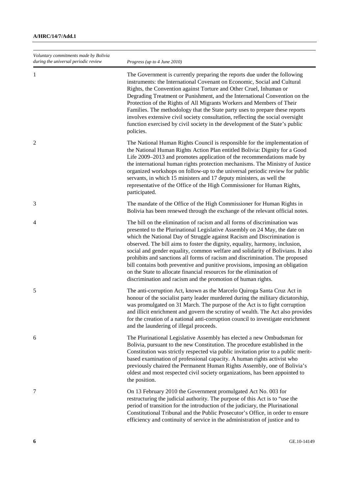| Voluntary commitments made by Bolivia<br>during the universal periodic review | Progress (up to 4 June 2010)                                                                                                                                                                                                                                                                                                                                                                                                                                                                                                                                                                                                                                                                                  |
|-------------------------------------------------------------------------------|---------------------------------------------------------------------------------------------------------------------------------------------------------------------------------------------------------------------------------------------------------------------------------------------------------------------------------------------------------------------------------------------------------------------------------------------------------------------------------------------------------------------------------------------------------------------------------------------------------------------------------------------------------------------------------------------------------------|
| 1                                                                             | The Government is currently preparing the reports due under the following<br>instruments: the International Covenant on Economic, Social and Cultural<br>Rights, the Convention against Torture and Other Cruel, Inhuman or<br>Degrading Treatment or Punishment, and the International Convention on the<br>Protection of the Rights of All Migrants Workers and Members of Their<br>Families. The methodology that the State party uses to prepare these reports<br>involves extensive civil society consultation, reflecting the social oversight<br>function exercised by civil society in the development of the State's public<br>policies.                                                             |
| $\overline{2}$                                                                | The National Human Rights Council is responsible for the implementation of<br>the National Human Rights Action Plan entitled Bolivia: Dignity for a Good<br>Life 2009–2013 and promotes application of the recommendations made by<br>the international human rights protection mechanisms. The Ministry of Justice<br>organized workshops on follow-up to the universal periodic review for public<br>servants, in which 15 ministers and 17 deputy ministers, as well the<br>representative of the Office of the High Commissioner for Human Rights,<br>participated.                                                                                                                                       |
| 3                                                                             | The mandate of the Office of the High Commissioner for Human Rights in<br>Bolivia has been renewed through the exchange of the relevant official notes.                                                                                                                                                                                                                                                                                                                                                                                                                                                                                                                                                       |
| 4                                                                             | The bill on the elimination of racism and all forms of discrimination was<br>presented to the Plurinational Legislative Assembly on 24 May, the date on<br>which the National Day of Struggle against Racism and Discrimination is<br>observed. The bill aims to foster the dignity, equality, harmony, inclusion,<br>social and gender equality, common welfare and solidarity of Bolivians. It also<br>prohibits and sanctions all forms of racism and discrimination. The proposed<br>bill contains both preventive and punitive provisions, imposing an obligation<br>on the State to allocate financial resources for the elimination of<br>discrimination and racism and the promotion of human rights. |
| 5                                                                             | The anti-corruption Act, known as the Marcelo Quiroga Santa Cruz Act in<br>honour of the socialist party leader murdered during the military dictatorship,<br>was promulgated on 31 March. The purpose of the Act is to fight corruption<br>and illicit enrichment and govern the scrutiny of wealth. The Act also provides<br>for the creation of a national anti-corruption council to investigate enrichment<br>and the laundering of illegal proceeds.                                                                                                                                                                                                                                                    |
| 6                                                                             | The Plurinational Legislative Assembly has elected a new Ombudsman for<br>Bolivia, pursuant to the new Constitution. The procedure established in the<br>Constitution was strictly respected via public invitation prior to a public merit-<br>based examination of professional capacity. A human rights activist who<br>previously chaired the Permanent Human Rights Assembly, one of Bolivia's<br>oldest and most respected civil society organizations, has been appointed to<br>the position.                                                                                                                                                                                                           |
| 7                                                                             | On 13 February 2010 the Government promulgated Act No. 003 for<br>restructuring the judicial authority. The purpose of this Act is to "use the<br>period of transition for the introduction of the judiciary, the Plurinational<br>Constitutional Tribunal and the Public Prosecutor's Office, in order to ensure<br>efficiency and continuity of service in the administration of justice and to                                                                                                                                                                                                                                                                                                             |